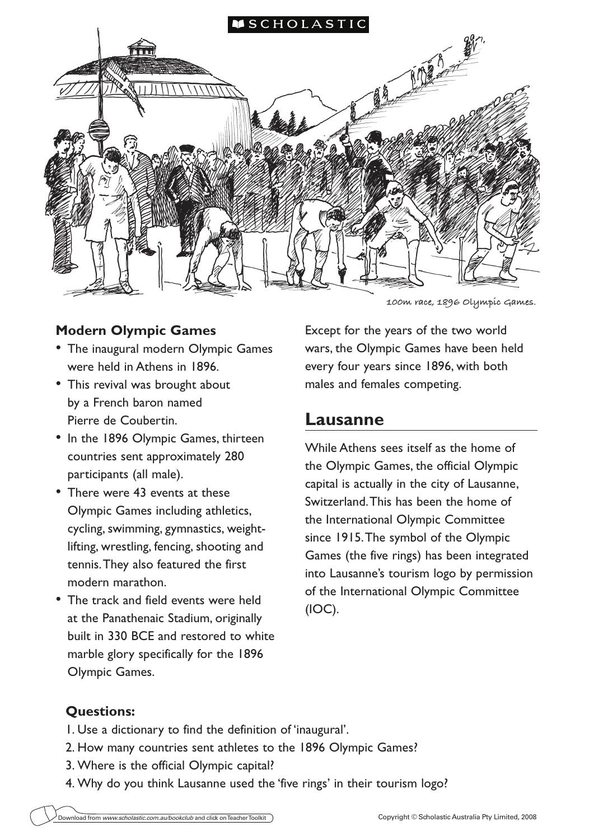

## **Modern Olympic Games**

- The inaugural modern Olympic Games were held in Athens in 1896.
- This revival was brought about by a French baron named Pierre de Coubertin.
- In the 1896 Olympic Games, thirteen countries sent approximately 280 participants (all male).
- There were 43 events at these Olympic Games including athletics, cycling, swimming, gymnastics, weightlifting, wrestling, fencing, shooting and tennis. They also featured the first modern marathon.
- The track and field events were held at the Panathenaic Stadium, originally built in 330 BCE and restored to white marble glory specifically for the 1896 Olympic Games.

**100m race, 1896 Olympic Games.** 

Except for the years of the two world wars, the Olympic Games have been held every four years since 1896, with both males and females competing.

# **Lausanne**

While Athens sees itself as the home of the Olympic Games, the official Olympic capital is actually in the city of Lausanne, Switzerland. This has been the home of the International Olympic Committee since 1915. The symbol of the Olympic Games (the five rings) has been integrated into Lausanne's tourism logo by permission of the International Olympic Committee (IOC).

### **Questions:**

- 1. Use a dictionary to find the definition of 'inaugural'.
- 2. How many countries sent athletes to the 1896 Olympic Games?
- 3. Where is the official Olympic capital?
- 4. Why do you think Lausanne used the 'five rings' in their tourism logo?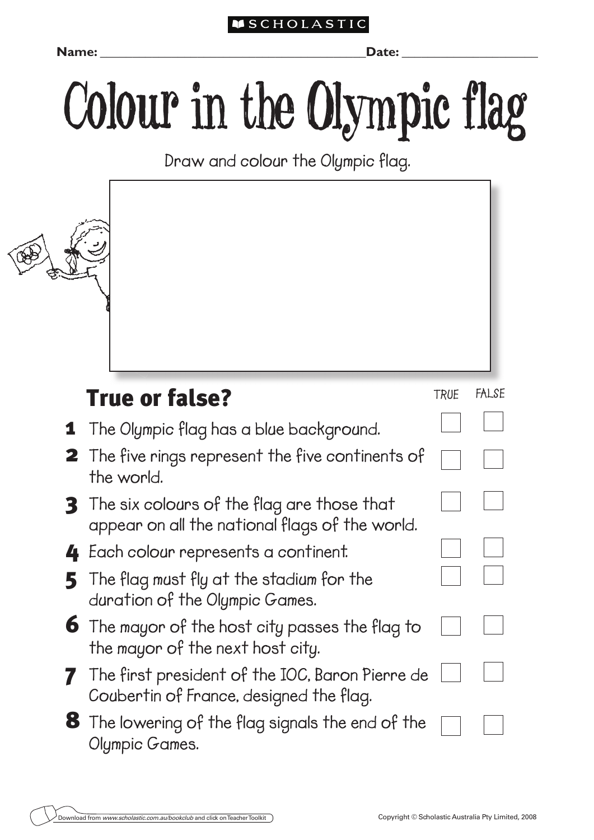## **SCHOLASTIC**

**Name: \_\_\_\_\_\_\_\_\_\_\_\_\_\_\_\_\_\_\_\_\_\_\_\_\_\_\_\_\_\_\_\_\_\_\_\_\_\_\_\_\_Date:** \_\_\_\_\_\_\_\_\_\_\_\_\_\_\_\_\_\_\_\_\_

# Colour in the Olympic flag

**Draw and colour the Olympic flag.**

| <b>True or false?</b>                                                                                 | <b>TRUE</b> | <b>FALSE</b> |
|-------------------------------------------------------------------------------------------------------|-------------|--------------|
| <b>1</b> The Olympic flag has a blue background.                                                      |             |              |
| <b>2</b> The five rings represent the five continents of<br>the world.                                |             |              |
| <b>3</b> The six colours of the flag are those that<br>appear on all the national flags of the world. |             |              |
| 4 Each colour represents a continent.                                                                 |             |              |
| $\overline{5}$ The flag must fly at the stadium for the<br>duration of the Olympic Games.             |             |              |
| $\boldsymbol{6}$ The mayor of the host city passes the flag to<br>the mayor of the next host city.    |             |              |
| The first president of the IOC, Baron Pierre de<br>Coubertin of France, designed the flag.            |             |              |
| <b>8</b> The lowering of the flag signals the end of the<br>Olympic Games.                            |             |              |